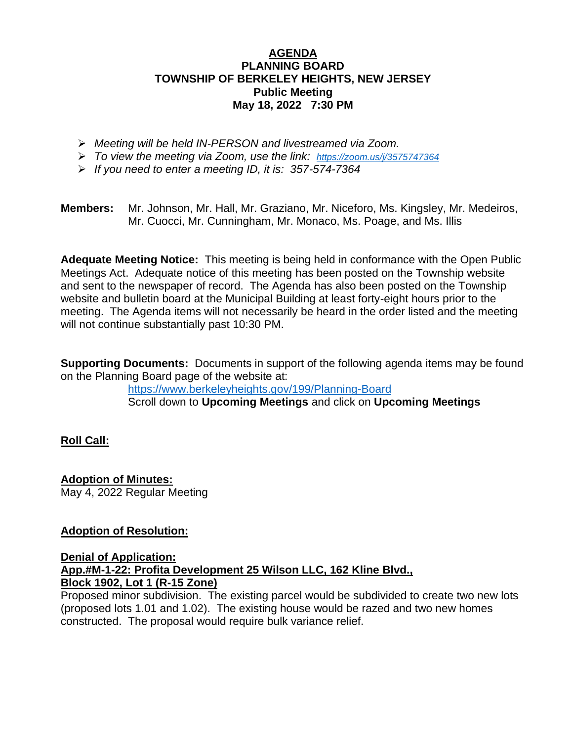# **AGENDA PLANNING BOARD TOWNSHIP OF BERKELEY HEIGHTS, NEW JERSEY Public Meeting May 18, 2022 7:30 PM**

- ➢ *Meeting will be held IN-PERSON and livestreamed via Zoom.*
- ➢ *To view the meeting via Zoom, use the link: <https://zoom.us/j/3575747364>*
- ➢ *If you need to enter a meeting ID, it is: 357-574-7364*

**Members:** Mr. Johnson, Mr. Hall, Mr. Graziano, Mr. Niceforo, Ms. Kingsley, Mr. Medeiros, Mr. Cuocci, Mr. Cunningham, Mr. Monaco, Ms. Poage, and Ms. Illis

**Adequate Meeting Notice:** This meeting is being held in conformance with the Open Public Meetings Act. Adequate notice of this meeting has been posted on the Township website and sent to the newspaper of record. The Agenda has also been posted on the Township website and bulletin board at the Municipal Building at least forty-eight hours prior to the meeting. The Agenda items will not necessarily be heard in the order listed and the meeting will not continue substantially past 10:30 PM.

**Supporting Documents:** Documents in support of the following agenda items may be found on the Planning Board page of the website at:

<https://www.berkeleyheights.gov/199/Planning-Board> Scroll down to **Upcoming Meetings** and click on **Upcoming Meetings**

# **Roll Call:**

**Adoption of Minutes:** May 4, 2022 Regular Meeting

# **Adoption of Resolution:**

**Denial of Application: App.#M-1-22: Profita Development 25 Wilson LLC, 162 Kline Blvd., Block 1902, Lot 1 (R-15 Zone)**

Proposed minor subdivision. The existing parcel would be subdivided to create two new lots (proposed lots 1.01 and 1.02). The existing house would be razed and two new homes constructed. The proposal would require bulk variance relief.